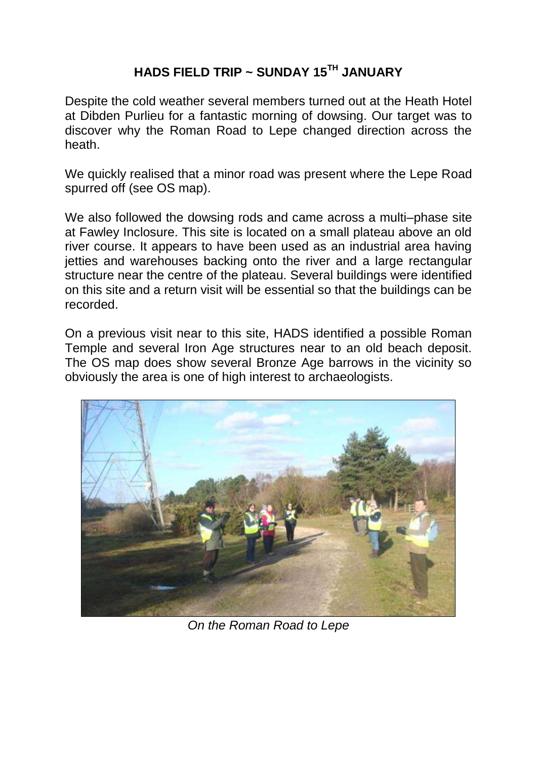## **HADS FIELD TRIP ~ SUNDAY 15TH JANUARY**

Despite the cold weather several members turned out at the Heath Hotel at Dibden Purlieu for a fantastic morning of dowsing. Our target was to discover why the Roman Road to Lepe changed direction across the heath.

We quickly realised that a minor road was present where the Lepe Road spurred off (see OS map).

We also followed the dowsing rods and came across a multi–phase site at Fawley Inclosure. This site is located on a small plateau above an old river course. It appears to have been used as an industrial area having jetties and warehouses backing onto the river and a large rectangular structure near the centre of the plateau. Several buildings were identified on this site and a return visit will be essential so that the buildings can be recorded.

On a previous visit near to this site, HADS identified a possible Roman Temple and several Iron Age structures near to an old beach deposit. The OS map does show several Bronze Age barrows in the vicinity so obviously the area is one of high interest to archaeologists.



*On the Roman Road to Lepe*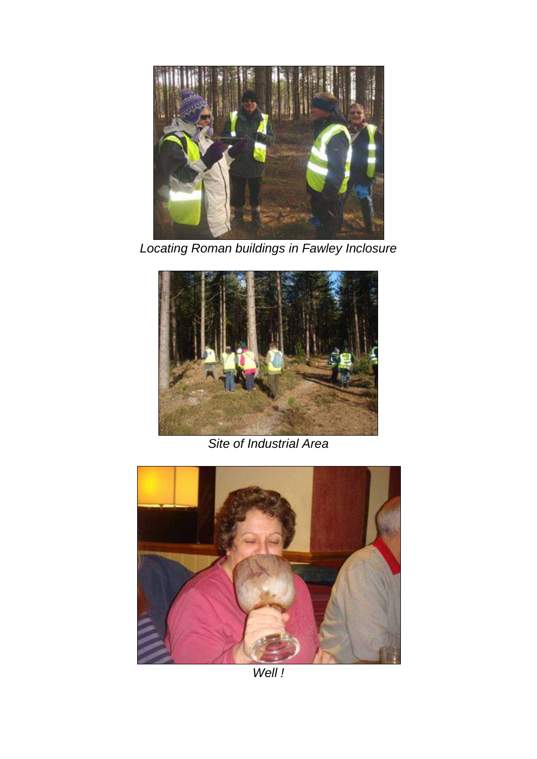

*Locating Roman buildings in Fawley Inclosure*



*Site of Industrial Area*



*Well !*